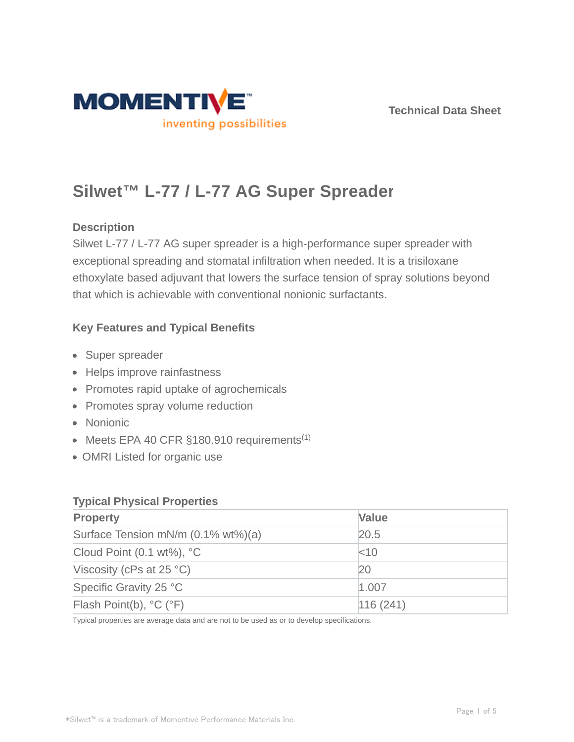

# **Silwet™ L-77 / L-77 AG Super Spreader**

## **Description**

Silwet L-77 / L-77 AG super spreader is a high-performance super spreader with exceptional spreading and stomatal infiltration when needed. It is a trisiloxane ethoxylate based adjuvant that lowers the surface tension of spray solutions beyond that which is achievable with conventional nonionic surfactants.

## **Key Features and Typical Benefits**

- Super spreader
- Helps improve rainfastness
- Promotes rapid uptake of agrochemicals
- Promotes spray volume reduction
- Nonionic
- Meets EPA 40 CFR §180.910 requirements<sup>(1)</sup>
- OMRI Listed for organic use

#### **Typical Physical Properties**

| <b>Property</b>                             | <b>Value</b> |
|---------------------------------------------|--------------|
| Surface Tension mN/m (0.1% wt%)(a)          | 20.5         |
| Cloud Point $(0.1 wt\%)$ , °C               | $<$ 10       |
| Viscosity (cPs at $25 °C$ )                 | 20           |
| Specific Gravity 25 °C                      | 1.007        |
| Flash Point(b), $^{\circ}C$ ( $^{\circ}F$ ) | 116(241)     |

Typical properties are average data and are not to be used as or to develop specifications.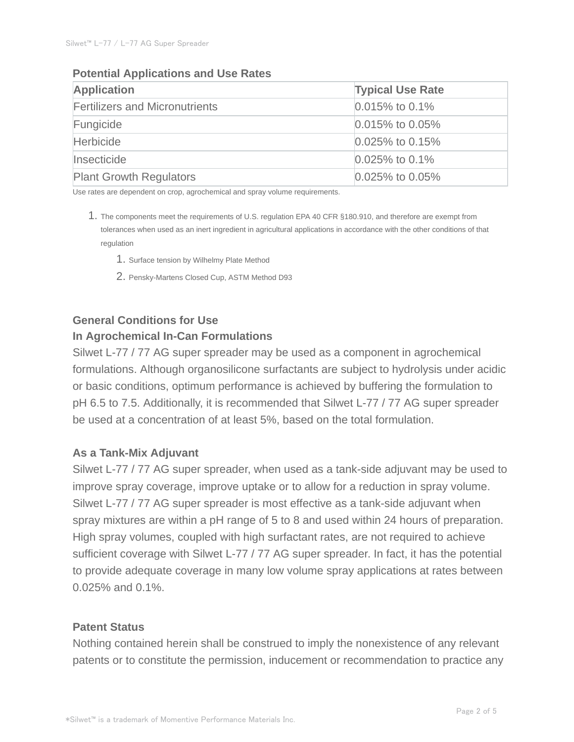#### **Potential Applications and Use Rates**

| <b>Application</b>                    | <b>Typical Use Rate</b> |  |
|---------------------------------------|-------------------------|--|
| <b>Fertilizers and Micronutrients</b> | $0.015\%$ to 0.1%       |  |
| Fungicide                             | $0.015\%$ to 0.05%      |  |
| <b>Herbicide</b>                      | $0.025\%$ to 0.15%      |  |
| Insecticide                           | $0.025\%$ to 0.1%       |  |
| <b>Plant Growth Regulators</b>        | $0.025\%$ to 0.05%      |  |

Use rates are dependent on crop, agrochemical and spray volume requirements.

- 1. The components meet the requirements of U.S. regulation EPA 40 CFR §180.910, and therefore are exempt from tolerances when used as an inert ingredient in agricultural applications in accordance with the other conditions of that regulation
	- 1. Surface tension by Wilhelmy Plate Method
	- 2. Pensky-Martens Closed Cup, ASTM Method D93

## **General Conditions for Use In Agrochemical In-Can Formulations**

Silwet L-77 / 77 AG super spreader may be used as a component in agrochemical formulations. Although organosilicone surfactants are subject to hydrolysis under acidic or basic conditions, optimum performance is achieved by buffering the formulation to pH 6.5 to 7.5. Additionally, it is recommended that Silwet L-77 / 77 AG super spreader be used at a concentration of at least 5%, based on the total formulation.

#### **As a Tank-Mix Adjuvant**

Silwet L-77 / 77 AG super spreader, when used as a tank-side adjuvant may be used to improve spray coverage, improve uptake or to allow for a reduction in spray volume. Silwet L-77 / 77 AG super spreader is most effective as a tank-side adjuvant when spray mixtures are within a pH range of 5 to 8 and used within 24 hours of preparation. High spray volumes, coupled with high surfactant rates, are not required to achieve sufficient coverage with Silwet L-77 / 77 AG super spreader. In fact, it has the potential to provide adequate coverage in many low volume spray applications at rates between 0.025% and 0.1%.

#### **Patent Status**

Nothing contained herein shall be construed to imply the nonexistence of any relevant patents or to constitute the permission, inducement or recommendation to practice any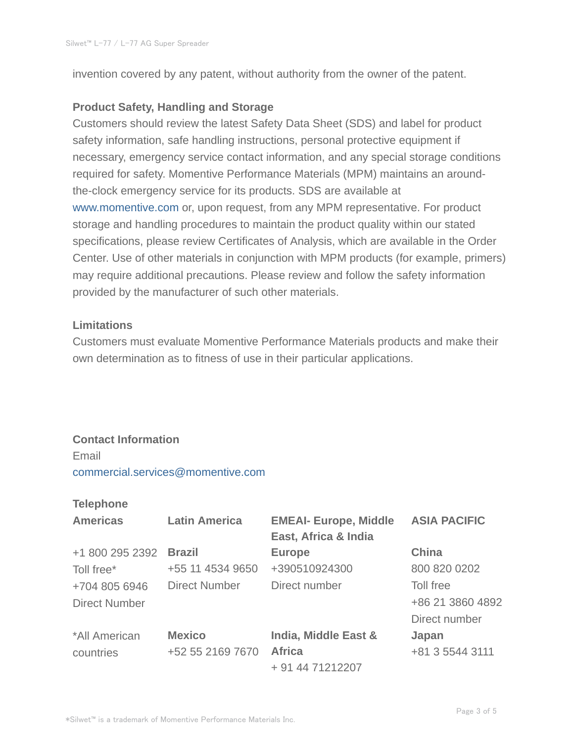invention covered by any patent, without authority from the owner of the patent.

#### **Product Safety, Handling and Storage**

Customers should review the latest Safety Data Sheet (SDS) and label for product safety information, safe handling instructions, personal protective equipment if necessary, emergency service contact information, and any special storage conditions required for safety. Momentive Performance Materials (MPM) maintains an aroundthe-clock emergency service for its products. SDS are available at www.momentive.com or, upon request, from any MPM representative. For product storage and handling procedures to maintain the product quality within our stated specifications, please review Certificates of Analysis, which are available in the Order Center. Use of other materials in conjunction with MPM products (for example, primers) may require additional precautions. Please review and follow the safety information provided by the manufacturer of such other materials.

#### **Limitations**

Customers must evaluate Momentive Performance Materials products and make their own determination as to fitness of use in their particular applications.

#### **Contact Information**

#### Email

commercial.services@momentive.com

#### **Telephone**

| <b>Americas</b>      | <b>Latin America</b> | <b>EMEAI- Europe, Middle</b><br>East, Africa & India | <b>ASIA PACIFIC</b> |
|----------------------|----------------------|------------------------------------------------------|---------------------|
| +1 800 295 2392      | <b>Brazil</b>        | <b>Europe</b>                                        | <b>China</b>        |
| Toll free*           | +55 11 4534 9650     | +390510924300                                        | 800 820 0202        |
| +704 805 6946        | <b>Direct Number</b> | Direct number                                        | Toll free           |
| <b>Direct Number</b> |                      |                                                      | +86 21 3860 4892    |
|                      |                      |                                                      | Direct number       |
| *All American        | <b>Mexico</b>        | India, Middle East &                                 | Japan               |
| countries            | +52 55 2169 7670     | <b>Africa</b>                                        | +81 3 5544 3111     |
|                      |                      | + 91 44 71212207                                     |                     |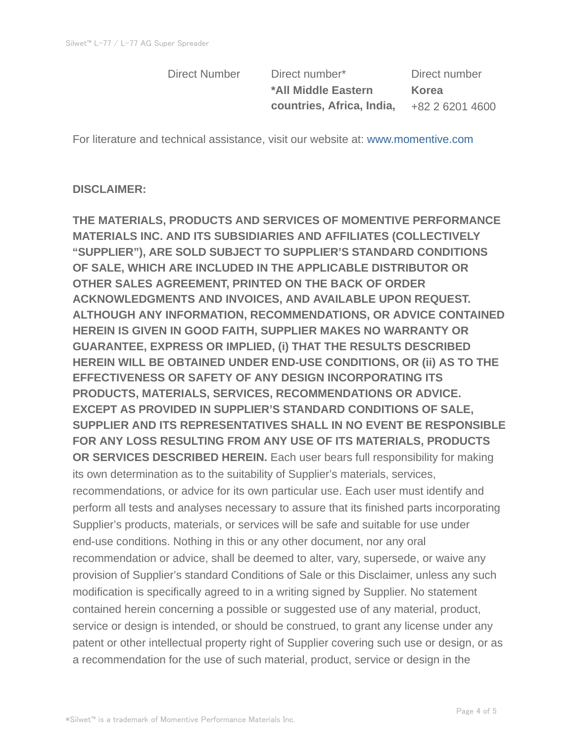Direct Number Direct number\* Direct number **\*All Middle Eastern countries, Africa, India,**

**Korea** +82 2 6201 4600

For literature and technical assistance, visit our website at: www.momentive.com

### **DISCLAIMER:**

**THE MATERIALS, PRODUCTS AND SERVICES OF MOMENTIVE PERFORMANCE MATERIALS INC. AND ITS SUBSIDIARIES AND AFFILIATES (COLLECTIVELY "SUPPLIER"), ARE SOLD SUBJECT TO SUPPLIER'S STANDARD CONDITIONS OF SALE, WHICH ARE INCLUDED IN THE APPLICABLE DISTRIBUTOR OR OTHER SALES AGREEMENT, PRINTED ON THE BACK OF ORDER ACKNOWLEDGMENTS AND INVOICES, AND AVAILABLE UPON REQUEST. ALTHOUGH ANY INFORMATION, RECOMMENDATIONS, OR ADVICE CONTAINED HEREIN IS GIVEN IN GOOD FAITH, SUPPLIER MAKES NO WARRANTY OR GUARANTEE, EXPRESS OR IMPLIED, (i) THAT THE RESULTS DESCRIBED HEREIN WILL BE OBTAINED UNDER END-USE CONDITIONS, OR (ii) AS TO THE EFFECTIVENESS OR SAFETY OF ANY DESIGN INCORPORATING ITS PRODUCTS, MATERIALS, SERVICES, RECOMMENDATIONS OR ADVICE. EXCEPT AS PROVIDED IN SUPPLIER'S STANDARD CONDITIONS OF SALE, SUPPLIER AND ITS REPRESENTATIVES SHALL IN NO EVENT BE RESPONSIBLE FOR ANY LOSS RESULTING FROM ANY USE OF ITS MATERIALS, PRODUCTS OR SERVICES DESCRIBED HEREIN.** Each user bears full responsibility for making its own determination as to the suitability of Supplier's materials, services, recommendations, or advice for its own particular use. Each user must identify and perform all tests and analyses necessary to assure that its finished parts incorporating Supplier's products, materials, or services will be safe and suitable for use under end-use conditions. Nothing in this or any other document, nor any oral recommendation or advice, shall be deemed to alter, vary, supersede, or waive any provision of Supplier's standard Conditions of Sale or this Disclaimer, unless any such modification is specifically agreed to in a writing signed by Supplier. No statement contained herein concerning a possible or suggested use of any material, product, service or design is intended, or should be construed, to grant any license under any patent or other intellectual property right of Supplier covering such use or design, or as a recommendation for the use of such material, product, service or design in the